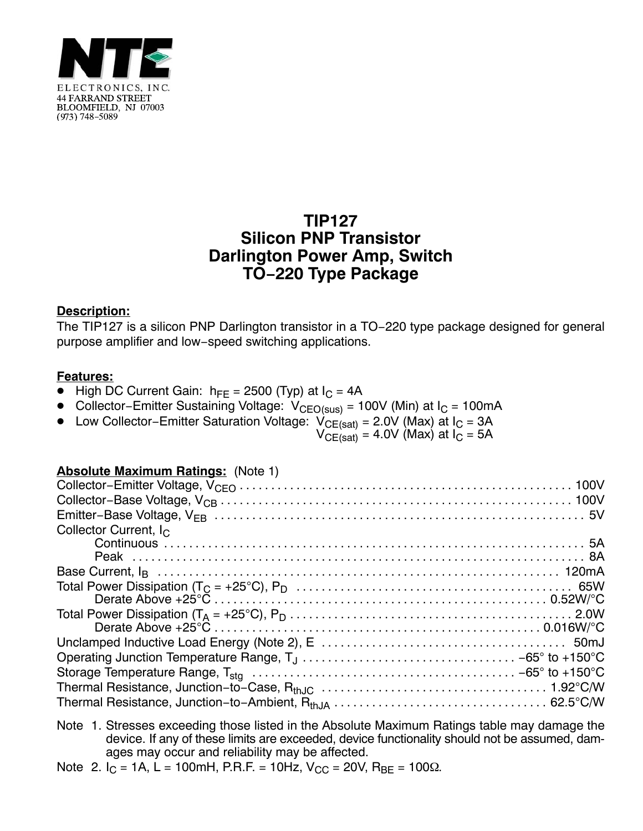

# **TIP127 Silicon PNP Transistor Darlington Power Amp, Switch TO−220 Type Package**

## **Description:**

The TIP127 is a silicon PNP Darlington transistor in a TO−220 type package designed for general purpose amplifier and low−speed switching applications.

#### **Features:**

- $\bullet$  High DC Current Gain:  $h_{FE}$  = 2500 (Typ) at  $I_C$  = 4A
- Collector–Emitter Sustaining Voltage: V<sub>CEO(sus)</sub> = 100V (Min) at I<sub>C</sub> = 100mA
- Low Collector–Emitter Saturation Voltage:  $V_{CE(sat)}$  = 2.0V (Max) at I<sub>C</sub> = 3A

 $\rm V_{CE(sat)}$  = 4.0V (Max) at I $_{C}$  = 5A

## **Absolute Maximum Ratings:** (Note 1)

Note 1. Stresses exceeding those listed in the Absolute Maximum Ratings table may damage the device. If any of these limits are exceeded, device functionality should not be assumed, damages may occur and reliability may be affected.

Note 2.  $I_C = 1A$ , L = 100mH, P.R.F. = 10Hz,  $V_{CC} = 20V$ , R<sub>BF</sub> = 100 $\Omega$ .